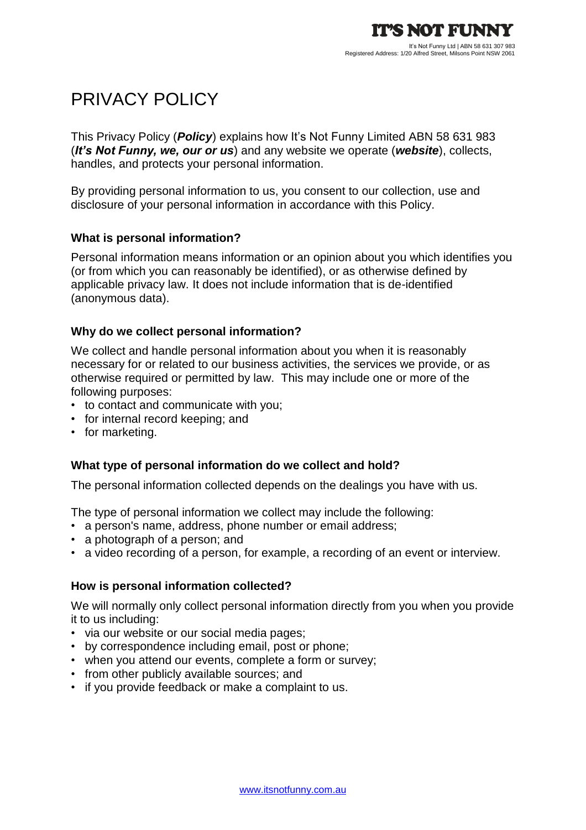# PRIVACY POLICY

This Privacy Policy (*Policy*) explains how It's Not Funny Limited ABN 58 631 983 (*It's Not Funny, we, our or us*) and any website we operate (*website*), collects, handles, and protects your personal information.

By providing personal information to us, you consent to our collection, use and disclosure of your personal information in accordance with this Policy.

## **What is personal information?**

Personal information means information or an opinion about you which identifies you (or from which you can reasonably be identified), or as otherwise defined by applicable privacy law. It does not include information that is de-identified (anonymous data).

## **Why do we collect personal information?**

We collect and handle personal information about you when it is reasonably necessary for or related to our business activities, the services we provide, or as otherwise required or permitted by law. This may include one or more of the following purposes:

- to contact and communicate with you;
- for internal record keeping; and
- for marketing.

## **What type of personal information do we collect and hold?**

The personal information collected depends on the dealings you have with us.

The type of personal information we collect may include the following:

- a person's name, address, phone number or email address;
- a photograph of a person; and
- a video recording of a person, for example, a recording of an event or interview.

## **How is personal information collected?**

We will normally only collect personal information directly from you when you provide it to us including:

- via our website or our social media pages;
- by correspondence including email, post or phone;
- when you attend our events, complete a form or survey;
- from other publicly available sources; and
- if you provide feedback or make a complaint to us.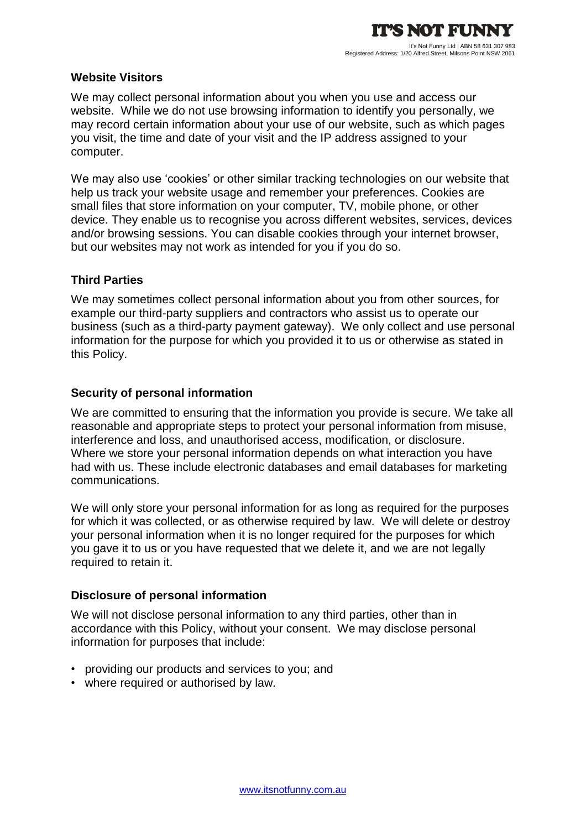# **Website Visitors**

We may collect personal information about you when you use and access our website. While we do not use browsing information to identify you personally, we may record certain information about your use of our website, such as which pages you visit, the time and date of your visit and the IP address assigned to your computer.

We may also use 'cookies' or other similar tracking technologies on our website that help us track your website usage and remember your preferences. Cookies are small files that store information on your computer, TV, mobile phone, or other device. They enable us to recognise you across different websites, services, devices and/or browsing sessions. You can disable cookies through your internet browser, but our websites may not work as intended for you if you do so.

# **Third Parties**

We may sometimes collect personal information about you from other sources, for example our third-party suppliers and contractors who assist us to operate our business (such as a third-party payment gateway). We only collect and use personal information for the purpose for which you provided it to us or otherwise as stated in this Policy.

# **Security of personal information**

We are committed to ensuring that the information you provide is secure. We take all reasonable and appropriate steps to protect your personal information from misuse, interference and loss, and unauthorised access, modification, or disclosure. Where we store your personal information depends on what interaction you have had with us. These include electronic databases and email databases for marketing communications.

We will only store your personal information for as long as required for the purposes for which it was collected, or as otherwise required by law. We will delete or destroy your personal information when it is no longer required for the purposes for which you gave it to us or you have requested that we delete it, and we are not legally required to retain it.

# **Disclosure of personal information**

We will not disclose personal information to any third parties, other than in accordance with this Policy, without your consent. We may disclose personal information for purposes that include:

- providing our products and services to you; and
- where required or authorised by law.